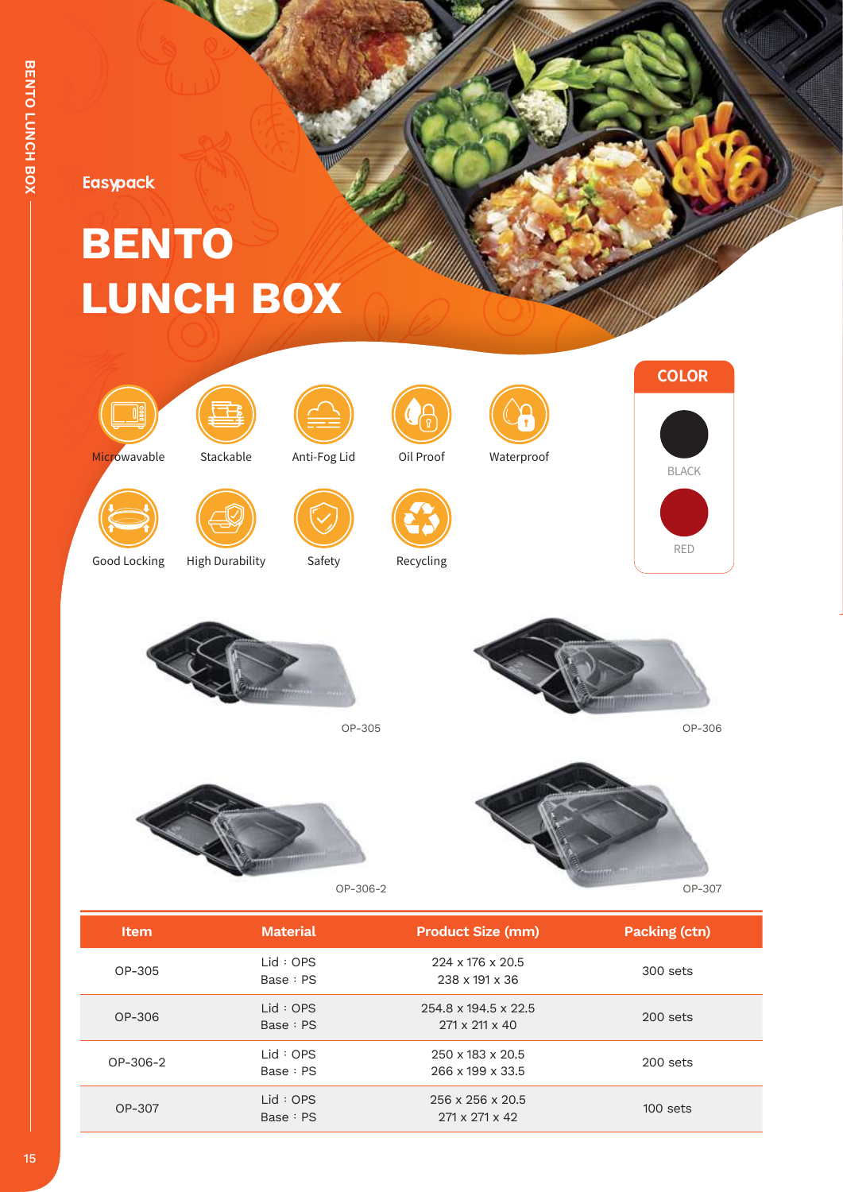**Easypack** 

## **BENTO LUNCH BOX**

ш.











Microwavable Stackable Anti-Fog Lid Oil Proof Waterproof







Good Locking High Durability Safety



Recycling



OP-306



OP-305





| <b>Item</b> | <b>Material</b>     | <b>Product Size (mm)</b>                                   | Packing (ctn) |
|-------------|---------------------|------------------------------------------------------------|---------------|
| OP-305      | Lid:OPS<br>Base: PS | $224 \times 176 \times 20.5$<br>238 x 191 x 36             | 300 sets      |
| OP-306      | Lid:OPS<br>Base: PS | 254.8 x 194.5 x 22.5<br>$271 \times 211 \times 40$         | $200$ sets    |
| OP-306-2    | Lid:OPS<br>Base: PS | 250 x 183 x 20.5<br>266 x 199 x 33.5                       | $200$ sets    |
| OP-307      | Lid:OPS<br>Base: PS | $256 \times 256 \times 20.5$<br>$271 \times 271 \times 42$ | $100$ sets    |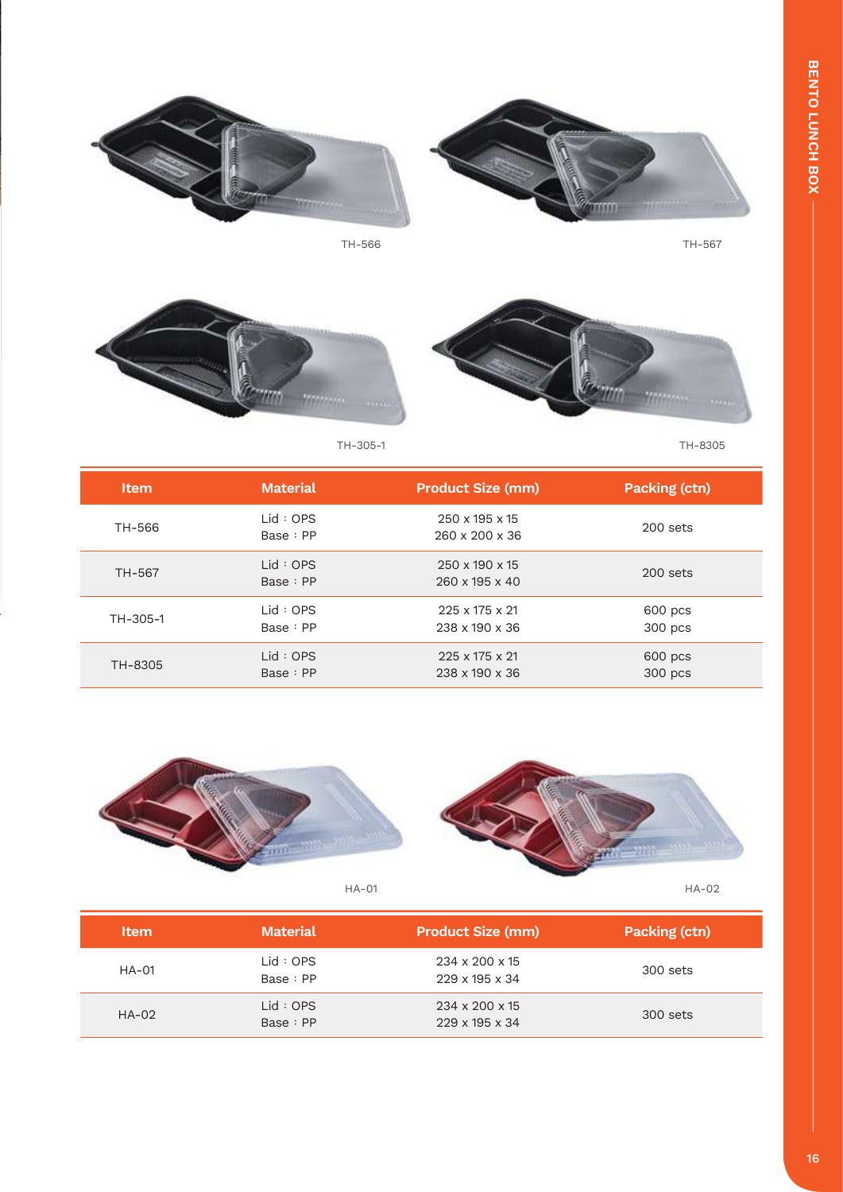



TH-305-1

TH-8305

| <b>Item</b> | <b>Material</b>     | <b>Product Size (mm)</b>                     | Packing (ctn)      |
|-------------|---------------------|----------------------------------------------|--------------------|
| TH-566      | Lid:OPS<br>Base: PP | 250 x 195 x 15<br>$260 \times 200 \times 36$ | $200$ sets         |
| TH-567      | Lid:OPS<br>Base: PP | 250 x 190 x 15<br>$260 \times 195 \times 40$ | $200$ sets         |
| TH-305-1    | Lid:OPS<br>Base: PP | $225 \times 175 \times 21$<br>238 x 190 x 36 | 600 pcs<br>300 pcs |
| TH-8305     | Lid:OPS<br>Base: PP | 225 x 175 x 21<br>238 x 190 x 36             | 600 pcs<br>300 pcs |



| <b>Item</b> | <b>Material</b>     | <b>Product Size (mm)</b>                                 | Packing (ctn) |
|-------------|---------------------|----------------------------------------------------------|---------------|
| $HA-01$     | Lid:OPS<br>Base: PP | 234 x 200 x 15<br>$229 \times 195 \times 34$             | 300 sets      |
| $HA-02$     | Lid:OPS<br>Base: PP | $234 \times 200 \times 15$<br>$229 \times 195 \times 34$ | 300 sets      |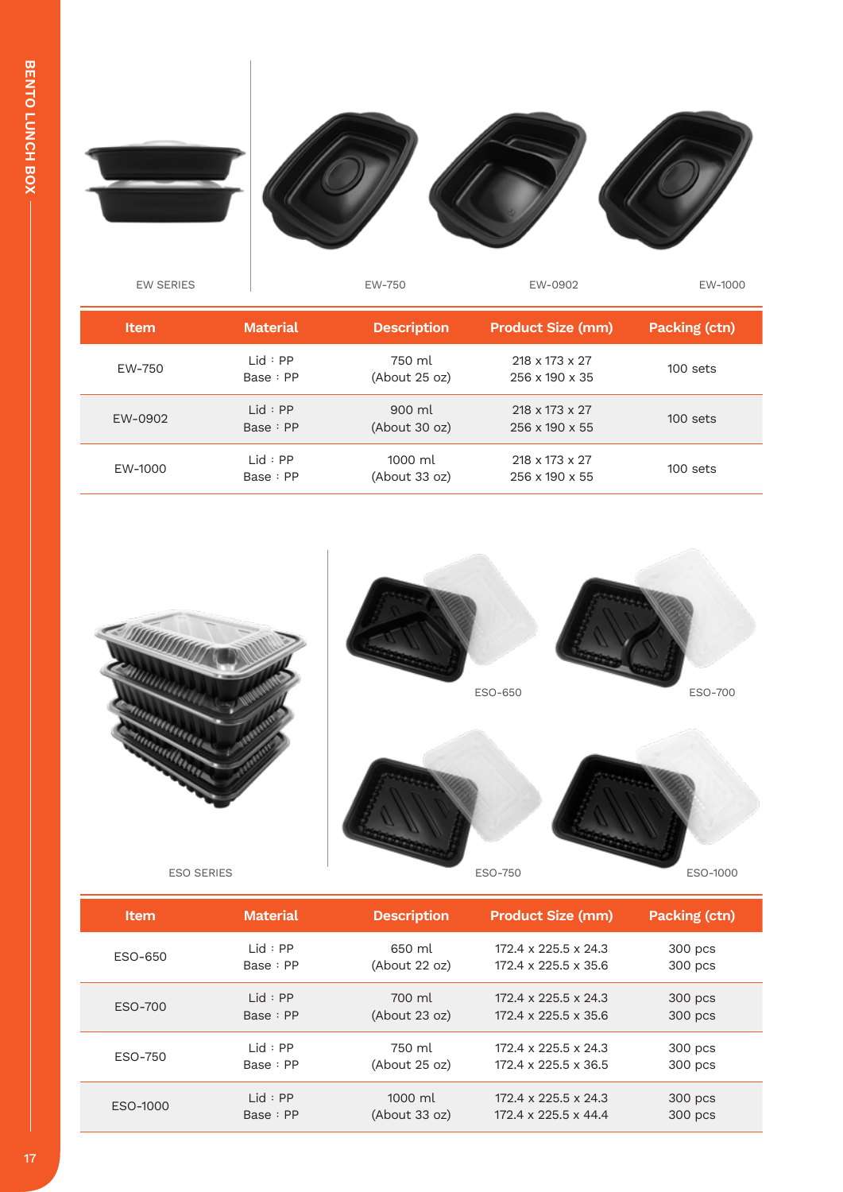

| <b>Item</b> | <b>Material</b>      | <b>Description</b>       | <b>Product Size (mm)</b>                     | Packing (ctn) |
|-------------|----------------------|--------------------------|----------------------------------------------|---------------|
| EW-750      | lid : PP<br>Base: PP | 750 ml<br>(About 25 oz)  | 218 x 173 x 27<br>$256 \times 190 \times 35$ | $100$ sets    |
| EW-0902     | Lid : PP<br>Base: PP | 900 ml<br>(About 30 oz)  | 218 x 173 x 27<br>$256 \times 190 \times 55$ | $100$ sets    |
| EW-1000     | Lid : PP<br>Base: PP | 1000 ml<br>(About 33 oz) | 218 x 173 x 27<br>256 x 190 x 55             | 100 sets      |



ESO SERIES ESO-750

ESO-750

| Item     | <b>Material</b> | <b>Description</b>  | <b>Product Size (mm)</b>         | <b>Packing (ctn)</b> |
|----------|-----------------|---------------------|----------------------------------|----------------------|
| ESO-650  | Lid : PP        | 650 ml              | 172.4 x 225.5 x 24.3             | 300 pcs              |
|          | Base: PP        | $(A$ bout 22 oz $)$ | $172.4 \times 225.5 \times 35.6$ | 300 pcs              |
| ESO-700  | lid : PP        | 700 ml              | $172.4 \times 225.5 \times 24.3$ | 300 pcs              |
|          | Base: PP        | $(A$ bout 23 oz)    | $172.4 \times 225.5 \times 35.6$ | 300 pcs              |
| ESO-750  | lid : PP        | 750 ml              | $172.4 \times 225.5 \times 24.3$ | 300 pcs              |
|          | Base: PP        | (About 25 oz)       | $172.4 \times 225.5 \times 36.5$ | 300 pcs              |
| ESO-1000 | lid : PP        | 1000 ml             | $172.4 \times 225.5 \times 24.3$ | 300 pcs              |
|          | Base: PP        | (About 33 oz)       | $172.4 \times 225.5 \times 44.4$ | 300 pcs              |